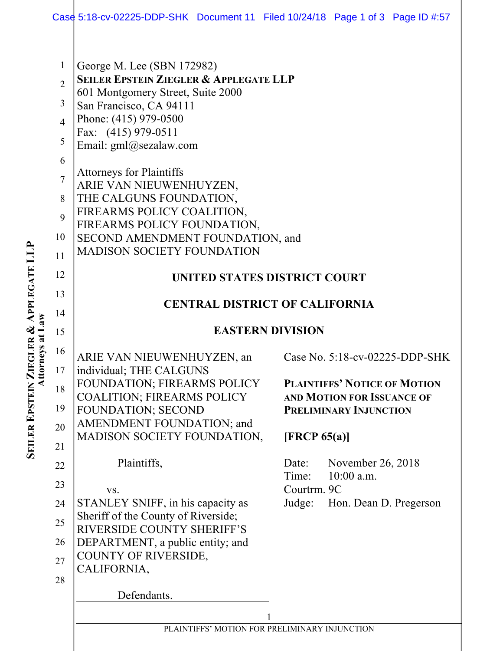|                                                                                                       | Case 5:18-cv-02225-DDP-SHK Document 11 Filed 10/24/18 Page 1 of 3 Page ID #:57                                                                                                                                                                                                                                                                                                                                                                                                           |  |                                                         |                                                                                                                                                                          |                                |
|-------------------------------------------------------------------------------------------------------|------------------------------------------------------------------------------------------------------------------------------------------------------------------------------------------------------------------------------------------------------------------------------------------------------------------------------------------------------------------------------------------------------------------------------------------------------------------------------------------|--|---------------------------------------------------------|--------------------------------------------------------------------------------------------------------------------------------------------------------------------------|--------------------------------|
| $\mathbf{1}$<br>$\overline{2}$<br>3<br>$\overline{4}$<br>5<br>6<br>$\tau$<br>8<br>9<br>10<br>11<br>12 | George M. Lee (SBN 172982)<br><b>SEILER EPSTEIN ZIEGLER &amp; APPLEGATE LLP</b><br>601 Montgomery Street, Suite 2000<br>San Francisco, CA 94111<br>Phone: (415) 979-0500<br>Fax: (415) 979-0511<br>Email: gml@sezalaw.com<br><b>Attorneys for Plaintiffs</b><br>ARIE VAN NIEUWENHUYZEN,<br>THE CALGUNS FOUNDATION,<br>FIREARMS POLICY COALITION,<br>FIREARMS POLICY FOUNDATION,<br>SECOND AMENDMENT FOUNDATION, and<br><b>MADISON SOCIETY FOUNDATION</b><br>UNITED STATES DISTRICT COURT |  |                                                         |                                                                                                                                                                          |                                |
| 13                                                                                                    | <b>CENTRAL DISTRICT OF CALIFORNIA</b><br><b>EASTERN DIVISION</b>                                                                                                                                                                                                                                                                                                                                                                                                                         |  |                                                         |                                                                                                                                                                          |                                |
| 14                                                                                                    |                                                                                                                                                                                                                                                                                                                                                                                                                                                                                          |  |                                                         |                                                                                                                                                                          |                                |
| 15                                                                                                    |                                                                                                                                                                                                                                                                                                                                                                                                                                                                                          |  |                                                         |                                                                                                                                                                          |                                |
| 16<br>17<br>18<br>19<br>20<br>21<br>22<br>23<br>24<br>25<br>26<br>27<br>28                            | ARIE VAN NIEUWENHUYZEN, an<br>individual; THE CALGUNS<br>FOUNDATION; FIREARMS POLICY<br><b>COALITION; FIREARMS POLICY</b><br><b>FOUNDATION; SECOND</b><br>AMENDMENT FOUNDATION; and<br>MADISON SOCIETY FOUNDATION,<br>Plaintiffs,<br>VS.<br>STANLEY SNIFF, in his capacity as<br>Sheriff of the County of Riverside;<br><b>RIVERSIDE COUNTY SHERIFF'S</b><br>DEPARTMENT, a public entity; and<br>COUNTY OF RIVERSIDE,<br>CALIFORNIA,<br>Defendants.                                      |  | [FRCP 65(a)]<br>Date:<br>Time:<br>Courtrm. 9C<br>Judge: | <b>PLAINTIFFS' NOTICE OF MOTION</b><br><b>AND MOTION FOR ISSUANCE OF</b><br><b>PRELIMINARY INJUNCTION</b><br>November 26, 2018<br>$10:00$ a.m.<br>Hon. Dean D. Pregerson | Case No. 5:18-cv-02225-DDP-SHK |
|                                                                                                       | PLAINTIFFS' MOTION FOR PRELIMINARY INJUNCTION                                                                                                                                                                                                                                                                                                                                                                                                                                            |  |                                                         |                                                                                                                                                                          |                                |

**SEILER EPSTEIN ZIEGLER & APPLEGATE LLP Attorneys at Law**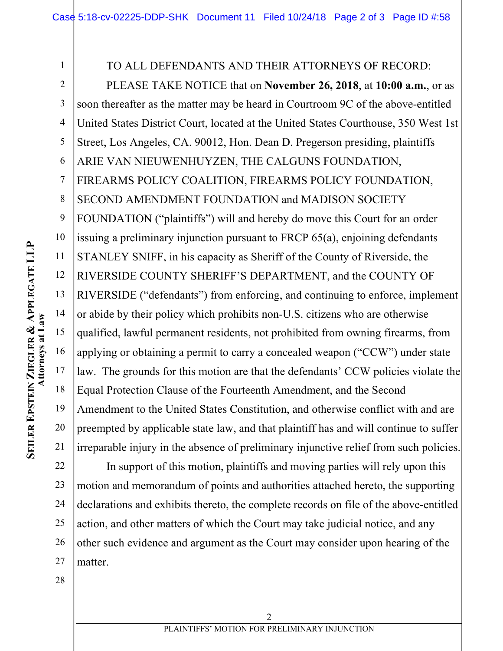1 TO ALL DEFENDANTS AND THEIR ATTORNEYS OF RECORD: 2 PLEASE TAKE NOTICE that on **November 26, 2018**, at **10:00 a.m.**, or as 3 soon thereafter as the matter may be heard in Courtroom 9C of the above-entitled 4 United States District Court, located at the United States Courthouse, 350 West 1st 5 Street, Los Angeles, CA. 90012, Hon. Dean D. Pregerson presiding, plaintiffs ARIE VAN NIEUWENHUYZEN, THE CALGUNS FOUNDATION, 6 7 FIREARMS POLICY COALITION, FIREARMS POLICY FOUNDATION, SECOND AMENDMENT FOUNDATION and MADISON SOCIETY 8 9 FOUNDATION ("plaintiffs") will and hereby do move this Court for an order 10 issuing a preliminary injunction pursuant to FRCP 65(a), enjoining defendants 11 STANLEY SNIFF, in his capacity as Sheriff of the County of Riverside, the 12 RIVERSIDE COUNTY SHERIFF'S DEPARTMENT, and the COUNTY OF 13 RIVERSIDE ("defendants") from enforcing, and continuing to enforce, implement 14 or abide by their policy which prohibits non-U.S. citizens who are otherwise Attorneys at Law **Attorneys at Law** 15 qualified, lawful permanent residents, not prohibited from owning firearms, from 16 applying or obtaining a permit to carry a concealed weapon ("CCW") under state 17 law. The grounds for this motion are that the defendants' CCW policies violate the 18 Equal Protection Clause of the Fourteenth Amendment, and the Second 19 Amendment to the United States Constitution, and otherwise conflict with and are 20 preempted by applicable state law, and that plaintiff has and will continue to suffer 21 irreparable injury in the absence of preliminary injunctive relief from such policies. 22

23 24 25 26 27 In support of this motion, plaintiffs and moving parties will rely upon this motion and memorandum of points and authorities attached hereto, the supporting declarations and exhibits thereto, the complete records on file of the above-entitled action, and other matters of which the Court may take judicial notice, and any other such evidence and argument as the Court may consider upon hearing of the matter.

28

**SEILER EPSTEIN ZIEGLER & APPLEGATE LLP**